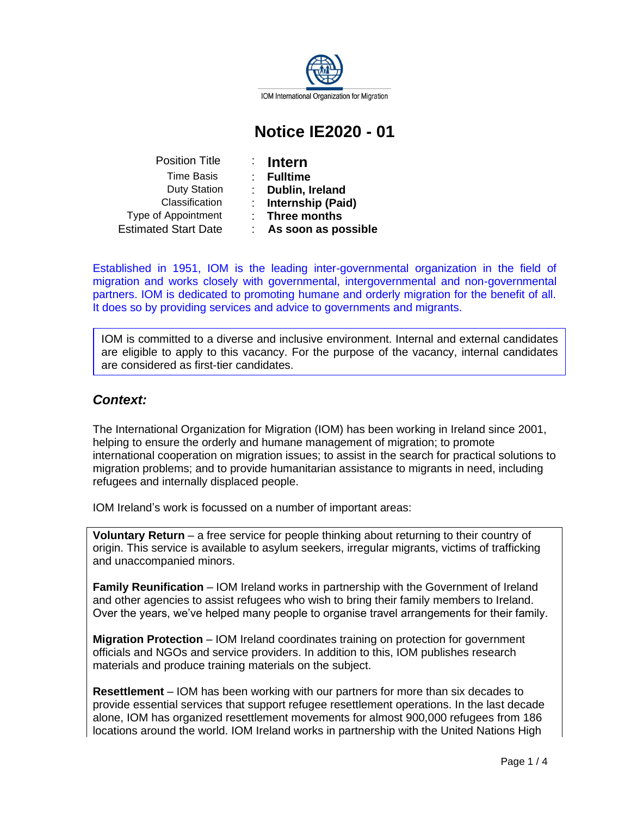

# **Notice IE2020 - 01**

| $\therefore$ Intern | <b>Position Title</b>       |
|---------------------|-----------------------------|
| <b>Fulltime</b>     | <b>Time Basis</b>           |
| Dublin,             | <b>Duty Station</b>         |
| <b>Internsl</b>     | Classification              |
| $:$ Three n         | Type of Appointment         |
| As sool             | <b>Estimated Start Date</b> |

- 
- Time Basis : **Fulltime**

ublin, **Ireland** 

**(Paid) (Paid)** 

**nree months** 

Estimated Start Date : **As soon as possible**

Established in 1951, IOM is the leading inter-governmental organization in the field of migration and works closely with governmental, intergovernmental and non-governmental partners. IOM is dedicated to promoting humane and orderly migration for the benefit of all. It does so by providing services and advice to governments and migrants.

IOM is committed to a diverse and inclusive environment. Internal and external candidates are eligible to apply to this vacancy. For the purpose of the vacancy, internal candidates are considered as first-tier candidates.

# *Context:*

The International Organization for Migration (IOM) has been working in Ireland since 2001, helping to ensure the orderly and humane management of migration; to promote international cooperation on migration issues; to assist in the search for practical solutions to migration problems; and to provide humanitarian assistance to migrants in need, including refugees and internally displaced people.

IOM Ireland's work is focussed on a number of important areas:

**Voluntary Return** – a free service for people thinking about returning to their country of origin. This service is available to asylum seekers, irregular migrants, victims of trafficking and unaccompanied minors.

**Family Reunification** – IOM Ireland works in partnership with the Government of Ireland and other agencies to assist refugees who wish to bring their family members to Ireland. Over the years, we've helped many people to organise travel arrangements for their family.

**Migration Protection** – IOM Ireland coordinates training on protection for government officials and NGOs and service providers. In addition to this, IOM publishes research materials and produce training materials on the subject.

**Resettlement** – IOM has been working with our partners for more than six decades to provide essential services that support refugee resettlement operations. In the last decade alone, IOM has organized resettlement movements for almost 900,000 refugees from 186 locations around the world. IOM Ireland works in partnership with the United Nations High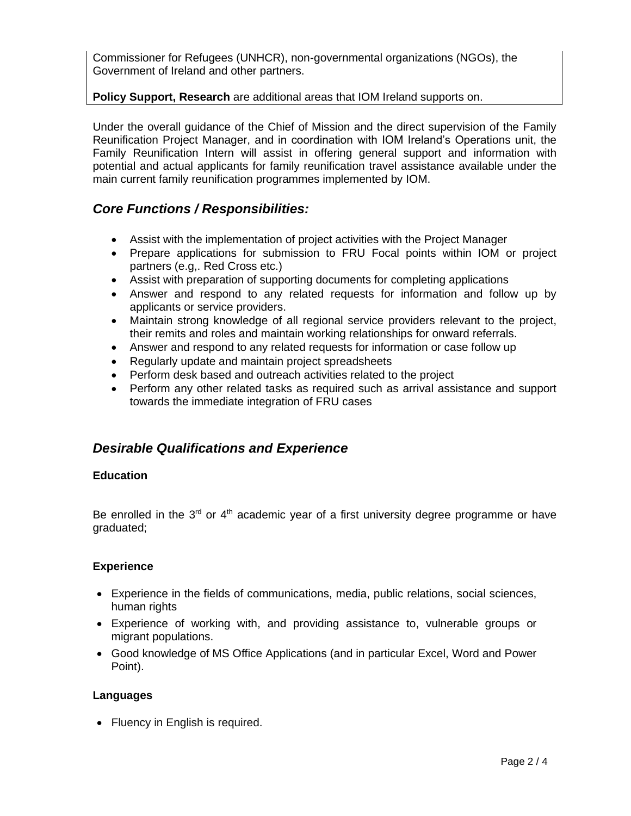Commissioner for Refugees (UNHCR), non-governmental organizations (NGOs), the Government of Ireland and other partners.

### **Policy Support, Research** are additional areas that IOM Ireland supports on.

Under the overall guidance of the Chief of Mission and the direct supervision of the Family Reunification Project Manager, and in coordination with IOM Ireland's Operations unit, the Family Reunification Intern will assist in offering general support and information with potential and actual applicants for family reunification travel assistance available under the main current family reunification programmes implemented by IOM.

## *Core Functions / Responsibilities:*

- Assist with the implementation of project activities with the Project Manager
- Prepare applications for submission to FRU Focal points within IOM or project partners (e.g,. Red Cross etc.)
- Assist with preparation of supporting documents for completing applications
- Answer and respond to any related requests for information and follow up by applicants or service providers.
- Maintain strong knowledge of all regional service providers relevant to the project, their remits and roles and maintain working relationships for onward referrals.
- Answer and respond to any related requests for information or case follow up
- Regularly update and maintain project spreadsheets
- Perform desk based and outreach activities related to the project
- Perform any other related tasks as required such as arrival assistance and support towards the immediate integration of FRU cases

## *Desirable Qualifications and Experience*

### **Education**

Be enrolled in the  $3<sup>rd</sup>$  or  $4<sup>th</sup>$  academic year of a first university degree programme or have graduated;

### **Experience**

- Experience in the fields of communications, media, public relations, social sciences, human rights
- Experience of working with, and providing assistance to, vulnerable groups or migrant populations.
- Good knowledge of MS Office Applications (and in particular Excel, Word and Power Point).

### **Languages**

• Fluency in English is required.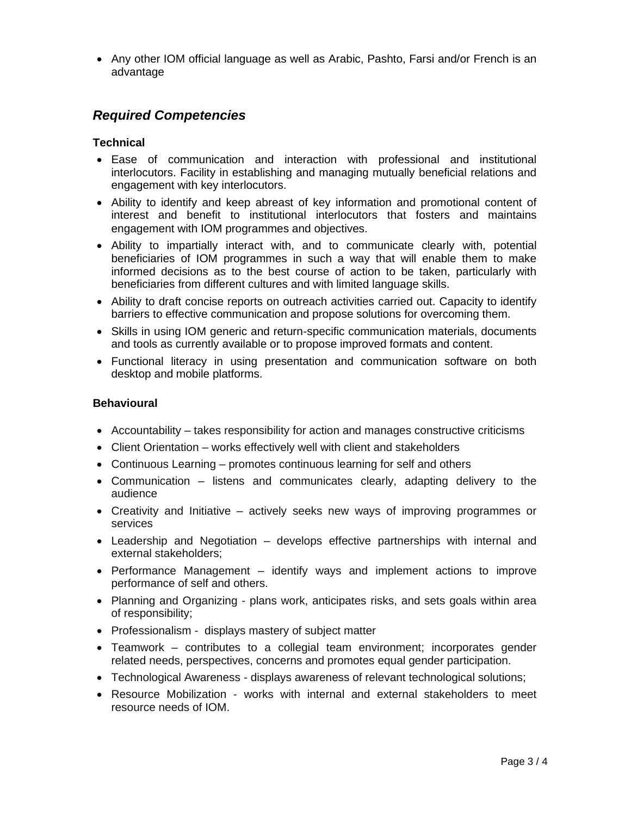• Any other IOM official language as well as Arabic, Pashto, Farsi and/or French is an advantage

# *Required Competencies*

### **Technical**

- Ease of communication and interaction with professional and institutional interlocutors. Facility in establishing and managing mutually beneficial relations and engagement with key interlocutors.
- Ability to identify and keep abreast of key information and promotional content of interest and benefit to institutional interlocutors that fosters and maintains engagement with IOM programmes and objectives.
- Ability to impartially interact with, and to communicate clearly with, potential beneficiaries of IOM programmes in such a way that will enable them to make informed decisions as to the best course of action to be taken, particularly with beneficiaries from different cultures and with limited language skills.
- Ability to draft concise reports on outreach activities carried out. Capacity to identify barriers to effective communication and propose solutions for overcoming them.
- Skills in using IOM generic and return-specific communication materials, documents and tools as currently available or to propose improved formats and content.
- Functional literacy in using presentation and communication software on both desktop and mobile platforms.

### **Behavioural**

- Accountability takes responsibility for action and manages constructive criticisms
- Client Orientation works effectively well with client and stakeholders
- Continuous Learning promotes continuous learning for self and others
- Communication listens and communicates clearly, adapting delivery to the audience
- Creativity and Initiative actively seeks new ways of improving programmes or services
- Leadership and Negotiation develops effective partnerships with internal and external stakeholders;
- Performance Management identify ways and implement actions to improve performance of self and others.
- Planning and Organizing plans work, anticipates risks, and sets goals within area of responsibility;
- Professionalism displays mastery of subject matter
- Teamwork contributes to a collegial team environment; incorporates gender related needs, perspectives, concerns and promotes equal gender participation.
- Technological Awareness displays awareness of relevant technological solutions;
- Resource Mobilization works with internal and external stakeholders to meet resource needs of IOM.